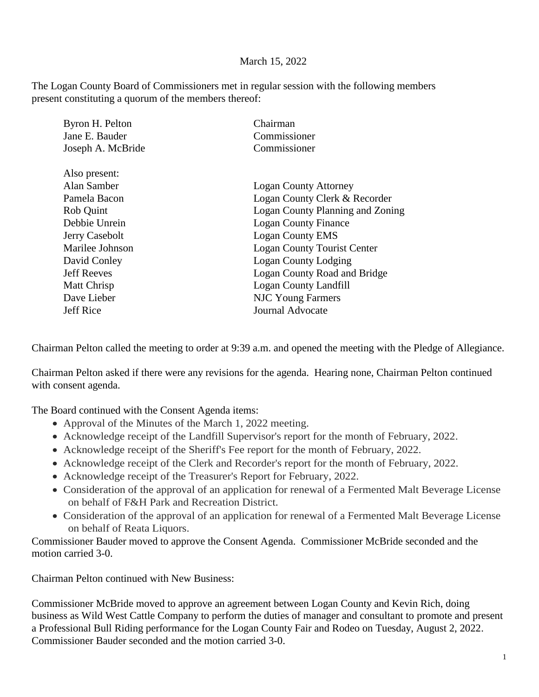## March 15, 2022

The Logan County Board of Commissioners met in regular session with the following members present constituting a quorum of the members thereof:

| Byron H. Pelton    | Chairman                           |
|--------------------|------------------------------------|
| Jane E. Bauder     | Commissioner                       |
| Joseph A. McBride  | Commissioner                       |
| Also present:      |                                    |
| Alan Samber        | <b>Logan County Attorney</b>       |
| Pamela Bacon       | Logan County Clerk & Recorder      |
| Rob Quint          | Logan County Planning and Zoning   |
| Debbie Unrein      | <b>Logan County Finance</b>        |
| Jerry Casebolt     | <b>Logan County EMS</b>            |
| Marilee Johnson    | <b>Logan County Tourist Center</b> |
| David Conley       | <b>Logan County Lodging</b>        |
| <b>Jeff Reeves</b> | Logan County Road and Bridge       |
| Matt Chrisp        | Logan County Landfill              |
| Dave Lieber        | <b>NJC Young Farmers</b>           |
| <b>Jeff Rice</b>   | <b>Journal Advocate</b>            |
|                    |                                    |

Chairman Pelton called the meeting to order at 9:39 a.m. and opened the meeting with the Pledge of Allegiance.

Chairman Pelton asked if there were any revisions for the agenda. Hearing none, Chairman Pelton continued with consent agenda.

The Board continued with the Consent Agenda items:

- Approval of the Minutes of the March 1, 2022 meeting.
- Acknowledge receipt of the Landfill Supervisor's report for the month of February, 2022.
- Acknowledge receipt of the Sheriff's Fee report for the month of February, 2022.
- Acknowledge receipt of the Clerk and Recorder's report for the month of February, 2022.
- Acknowledge receipt of the Treasurer's Report for February, 2022.
- Consideration of the approval of an application for renewal of a Fermented Malt Beverage License on behalf of F&H Park and Recreation District.
- Consideration of the approval of an application for renewal of a Fermented Malt Beverage License on behalf of Reata Liquors.

Commissioner Bauder moved to approve the Consent Agenda. Commissioner McBride seconded and the motion carried 3-0.

Chairman Pelton continued with New Business:

Commissioner McBride moved to approve an agreement between Logan County and Kevin Rich, doing business as Wild West Cattle Company to perform the duties of manager and consultant to promote and present a Professional Bull Riding performance for the Logan County Fair and Rodeo on Tuesday, August 2, 2022. Commissioner Bauder seconded and the motion carried 3-0.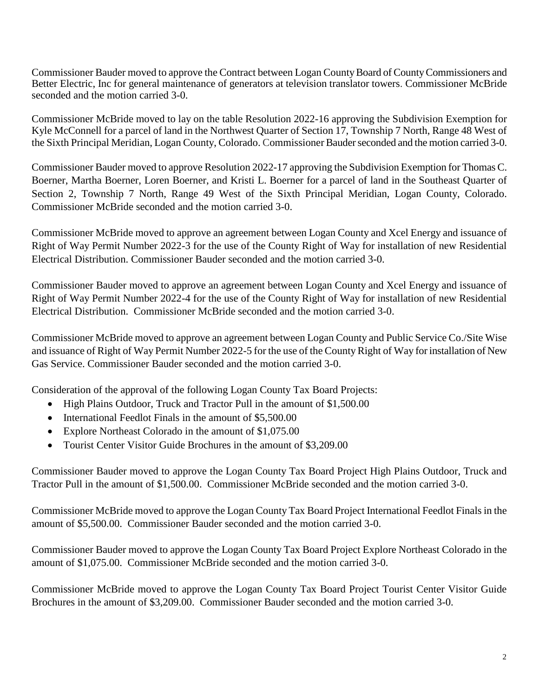Commissioner Bauder moved to approve the Contract between Logan County Board of County Commissioners and Better Electric, Inc for general maintenance of generators at television translator towers. Commissioner McBride seconded and the motion carried 3-0.

Commissioner McBride moved to lay on the table Resolution 2022-16 approving the Subdivision Exemption for Kyle McConnell for a parcel of land in the Northwest Quarter of Section 17, Township 7 North, Range 48 West of the Sixth Principal Meridian, Logan County, Colorado. Commissioner Bauder seconded and the motion carried 3-0.

Commissioner Bauder moved to approve Resolution 2022-17 approving the Subdivision Exemption for Thomas C. Boerner, Martha Boerner, Loren Boerner, and Kristi L. Boerner for a parcel of land in the Southeast Quarter of Section 2, Township 7 North, Range 49 West of the Sixth Principal Meridian, Logan County, Colorado. Commissioner McBride seconded and the motion carried 3-0.

Commissioner McBride moved to approve an agreement between Logan County and Xcel Energy and issuance of Right of Way Permit Number 2022-3 for the use of the County Right of Way for installation of new Residential Electrical Distribution. Commissioner Bauder seconded and the motion carried 3-0.

Commissioner Bauder moved to approve an agreement between Logan County and Xcel Energy and issuance of Right of Way Permit Number 2022-4 for the use of the County Right of Way for installation of new Residential Electrical Distribution. Commissioner McBride seconded and the motion carried 3-0.

Commissioner McBride moved to approve an agreement between Logan County and Public Service Co./Site Wise and issuance of Right of Way Permit Number 2022-5 for the use of the County Right of Way for installation of New Gas Service. Commissioner Bauder seconded and the motion carried 3-0.

Consideration of the approval of the following Logan County Tax Board Projects:

- High Plains Outdoor, Truck and Tractor Pull in the amount of \$1,500.00
- International Feedlot Finals in the amount of \$5,500.00
- Explore Northeast Colorado in the amount of \$1,075.00
- Tourist Center Visitor Guide Brochures in the amount of \$3,209.00

Commissioner Bauder moved to approve the Logan County Tax Board Project High Plains Outdoor, Truck and Tractor Pull in the amount of \$1,500.00. Commissioner McBride seconded and the motion carried 3-0.

Commissioner McBride moved to approve the Logan County Tax Board Project International Feedlot Finals in the amount of \$5,500.00. Commissioner Bauder seconded and the motion carried 3-0.

Commissioner Bauder moved to approve the Logan County Tax Board Project Explore Northeast Colorado in the amount of \$1,075.00. Commissioner McBride seconded and the motion carried 3-0.

Commissioner McBride moved to approve the Logan County Tax Board Project Tourist Center Visitor Guide Brochures in the amount of \$3,209.00. Commissioner Bauder seconded and the motion carried 3-0.